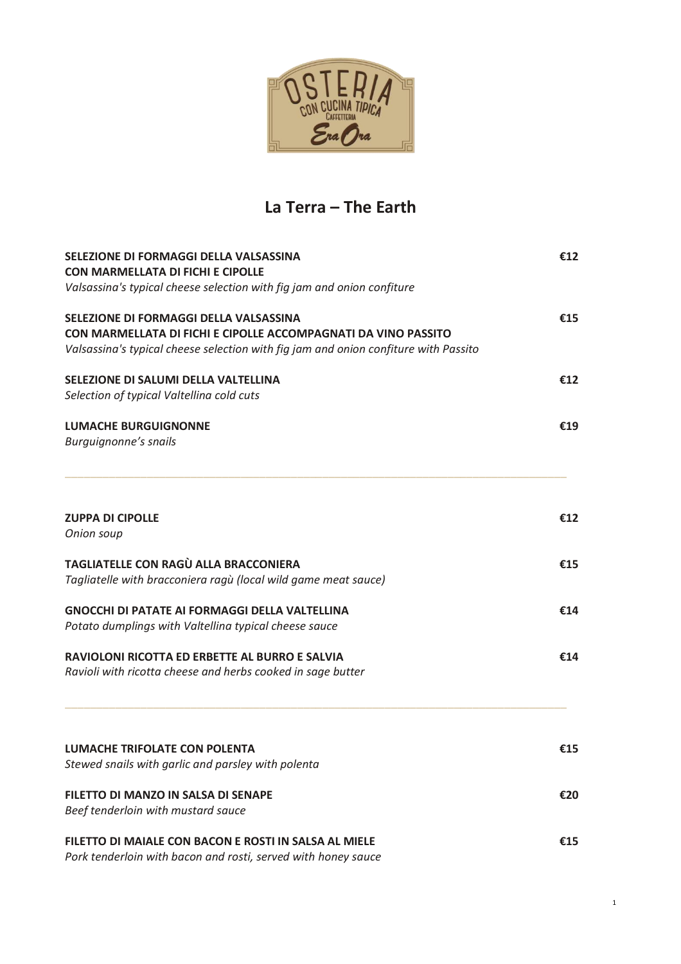

# **La Terra – The Earth**

| SELEZIONE DI FORMAGGI DELLA VALSASSINA                                                                           | €12 |
|------------------------------------------------------------------------------------------------------------------|-----|
| <b>CON MARMELLATA DI FICHI E CIPOLLE</b>                                                                         |     |
| Valsassina's typical cheese selection with fig jam and onion confiture<br>SELEZIONE DI FORMAGGI DELLA VALSASSINA |     |
|                                                                                                                  | €15 |
| CON MARMELLATA DI FICHI E CIPOLLE ACCOMPAGNATI DA VINO PASSITO                                                   |     |
| Valsassina's typical cheese selection with fig jam and onion confiture with Passito                              |     |
| SELEZIONE DI SALUMI DELLA VALTELLINA                                                                             | £12 |
| Selection of typical Valtellina cold cuts                                                                        |     |
| <b>LUMACHE BURGUIGNONNE</b>                                                                                      | €19 |
| Burguignonne's snails                                                                                            |     |
| <b>ZUPPA DI CIPOLLE</b>                                                                                          | €12 |
| Onion soup<br>TAGLIATELLE CON RAGÙ ALLA BRACCONIERA                                                              |     |
|                                                                                                                  | €15 |
| Tagliatelle with bracconiera ragù (local wild game meat sauce)                                                   |     |
| <b>GNOCCHI DI PATATE AI FORMAGGI DELLA VALTELLINA</b>                                                            | €14 |
| Potato dumplings with Valtellina typical cheese sauce                                                            |     |
| RAVIOLONI RICOTTA ED ERBETTE AL BURRO E SALVIA                                                                   | €14 |
| Ravioli with ricotta cheese and herbs cooked in sage butter                                                      |     |
| <b>LUMACHE TRIFOLATE CON POLENTA</b>                                                                             | €15 |
| Stewed snails with garlic and parsley with polenta                                                               |     |
| <b>FILETTO DI MANZO IN SALSA DI SENAPE</b>                                                                       | €20 |
| Beef tenderloin with mustard sauce                                                                               |     |
| FILETTO DI MAIALE CON BACON E ROSTI IN SALSA AL MIELE                                                            | €15 |
| Pork tenderloin with bacon and rosti, served with honey sauce                                                    |     |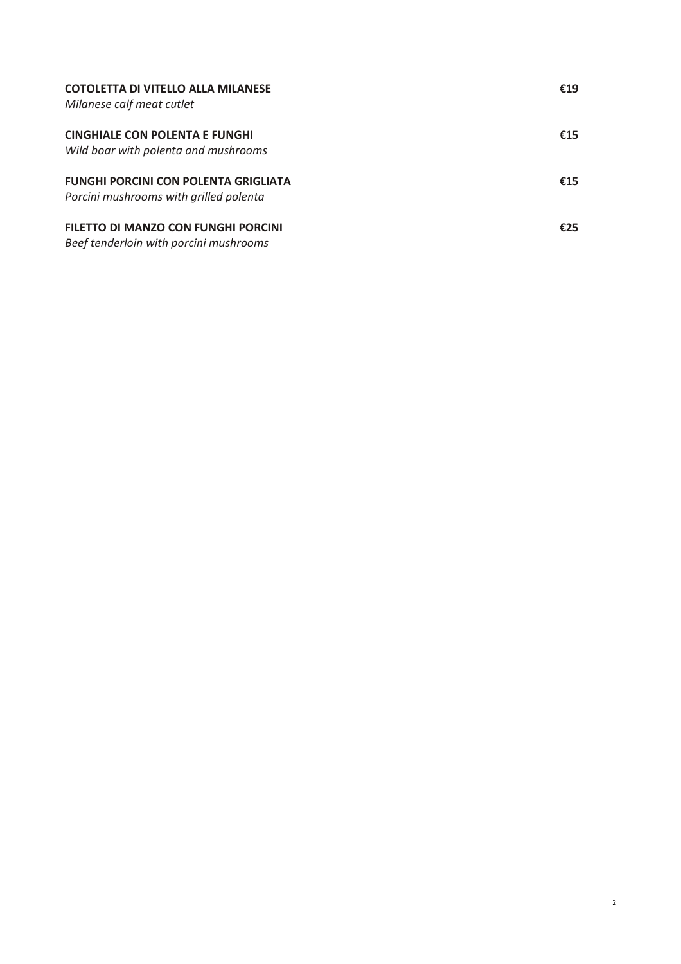| <b>COTOLETTA DI VITELLO ALLA MILANESE</b><br>Milanese calf meat cutlet                | €19 |
|---------------------------------------------------------------------------------------|-----|
| <b>CINGHIALE CON POLENTA E FUNGHI</b><br>Wild boar with polenta and mushrooms         | €15 |
| <b>FUNGHI PORCINI CON POLENTA GRIGLIATA</b><br>Porcini mushrooms with grilled polenta | €15 |
| FILETTO DI MANZO CON FUNGHI PORCINI<br>Beef tenderloin with porcini mushrooms         | £25 |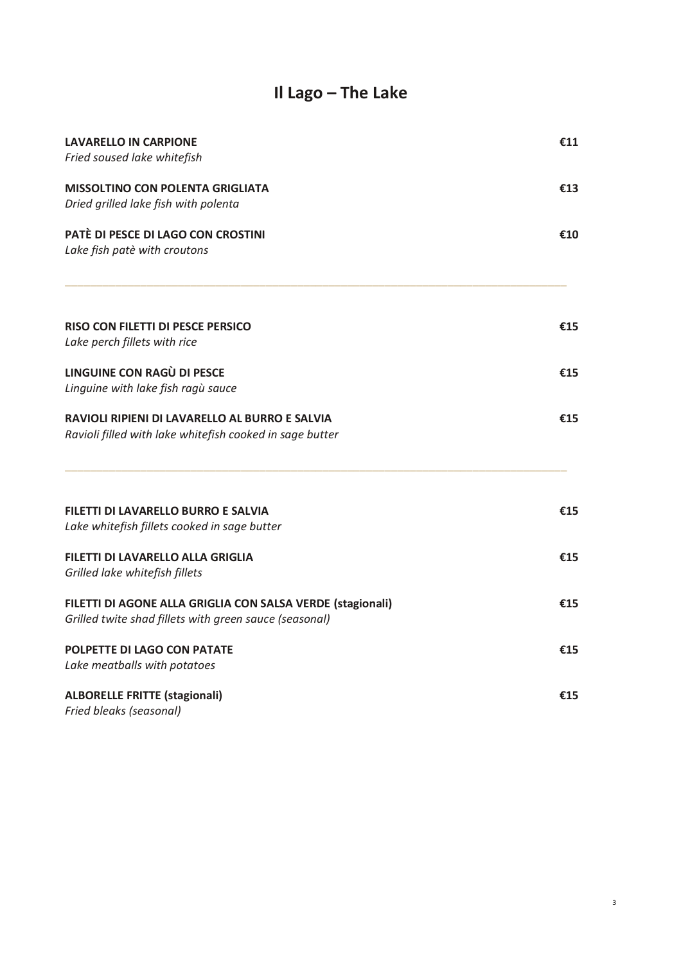# **Il Lago – The Lake**

| <b>LAVARELLO IN CARPIONE</b><br>Fried soused lake whitefish | €11 |
|-------------------------------------------------------------|-----|
|                                                             |     |
| <b>MISSOLTINO CON POLENTA GRIGLIATA</b>                     | €13 |
| Dried grilled lake fish with polenta                        |     |
| PATÈ DI PESCE DI LAGO CON CROSTINI                          | €10 |
| Lake fish patè with croutons                                |     |
| <b>RISO CON FILETTI DI PESCE PERSICO</b>                    | €15 |
| Lake perch fillets with rice                                |     |
| <b>LINGUINE CON RAGÙ DI PESCE</b>                           | €15 |
| Linguine with lake fish ragù sauce                          |     |
| RAVIOLI RIPIENI DI LAVARELLO AL BURRO E SALVIA              | €15 |
| Ravioli filled with lake whitefish cooked in sage butter    |     |
| FILETTI DI LAVARELLO BURRO E SALVIA                         | €15 |
| Lake whitefish fillets cooked in sage butter                |     |
| FILETTI DI LAVARELLO ALLA GRIGLIA                           | €15 |
| Grilled lake whitefish fillets                              |     |
| FILETTI DI AGONE ALLA GRIGLIA CON SALSA VERDE (stagionali)  | €15 |
| Grilled twite shad fillets with green sauce (seasonal)      |     |
| <b>POLPETTE DI LAGO CON PATATE</b>                          | €15 |
| Lake meatballs with potatoes                                |     |
| <b>ALBORELLE FRITTE (stagionali)</b>                        | €15 |
| Fried bleaks (seasonal)                                     |     |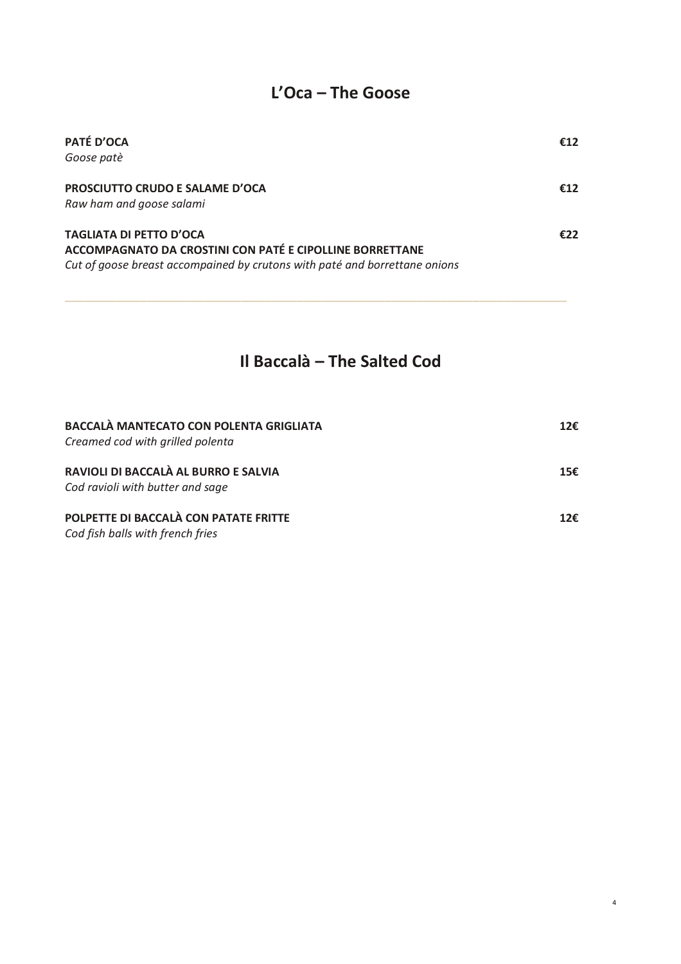# $L'Oca$  – The Goose

| PATÉ D'OCA<br>Goose patè                                                                                                                                                 | €12 |
|--------------------------------------------------------------------------------------------------------------------------------------------------------------------------|-----|
| <b>PROSCIUTTO CRUDO E SALAME D'OCA</b><br>Raw ham and goose salami                                                                                                       | €12 |
| <b>TAGLIATA DI PETTO D'OCA</b><br>ACCOMPAGNATO DA CROSTINI CON PATÉ E CIPOLLINE BORRETTANE<br>Cut of goose breast accompained by crutons with paté and borrettane onions | €22 |

# Il Baccalà - The Salted Cod

| <b>BACCALÀ MANTECATO CON POLENTA GRIGLIATA</b><br>Creamed cod with grilled polenta | 12€ |
|------------------------------------------------------------------------------------|-----|
| RAVIOLI DI BACCALÀ AL BURRO E SALVIA<br>Cod ravioli with butter and sage           | 15€ |
| POLPETTE DI BACCALÀ CON PATATE FRITTE<br>Cod fish balls with french fries          | 12f |

 $\overline{4}$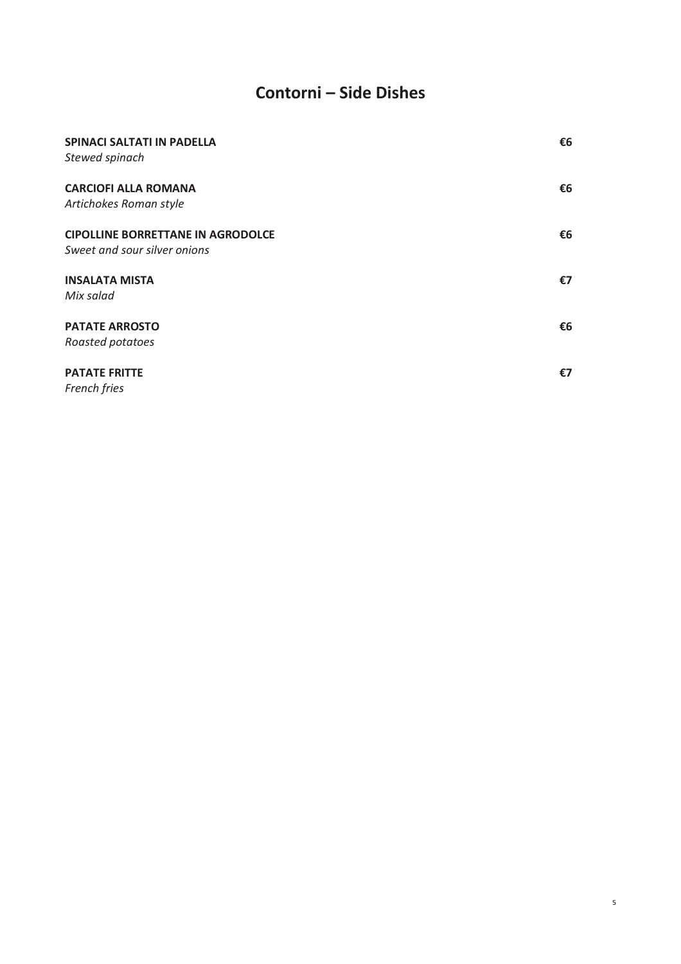# Contorni - Side Dishes

| <b>SPINACI SALTATI IN PADELLA</b><br>Stewed spinach                      | €6 |
|--------------------------------------------------------------------------|----|
| <b>CARCIOFI ALLA ROMANA</b><br>Artichokes Roman style                    | €6 |
| <b>CIPOLLINE BORRETTANE IN AGRODOLCE</b><br>Sweet and sour silver onions | €6 |
| <b>INSALATA MISTA</b><br>Mix salad                                       | €7 |
| <b>PATATE ARROSTO</b><br>Roasted potatoes                                | €6 |
| <b>PATATE FRITTE</b><br>French fries                                     | €7 |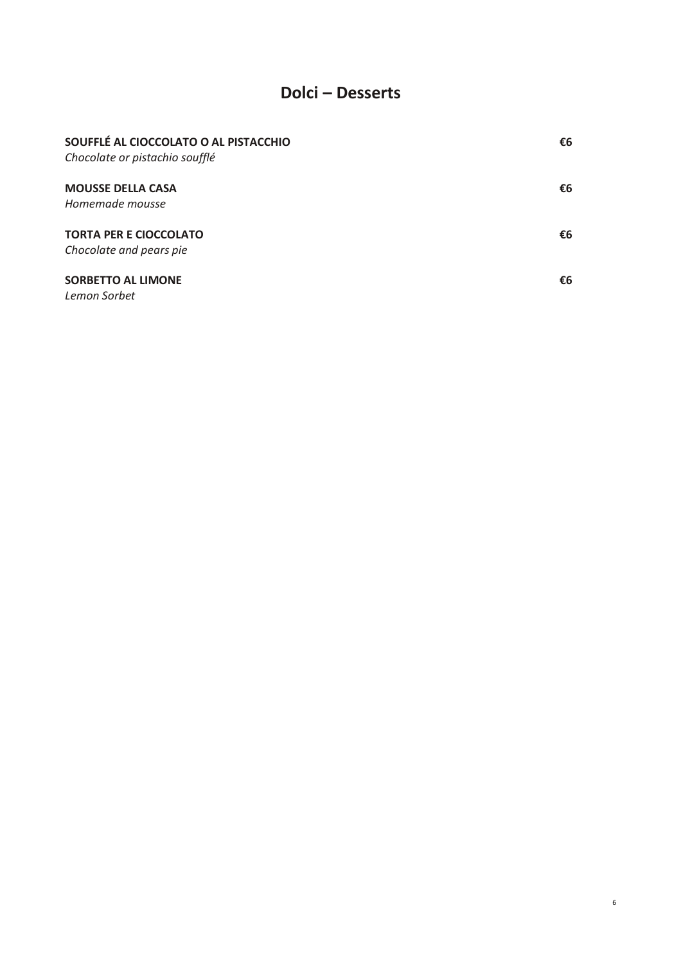#### **Dolci - Desserts**

| SOUFFLÉ AL CIOCCOLATO O AL PISTACCHIO<br>Chocolate or pistachio soufflé | €6 |
|-------------------------------------------------------------------------|----|
| <b>MOUSSE DELLA CASA</b><br>Homemade mousse                             | €6 |
| <b>TORTA PER E CIOCCOLATO</b><br>Chocolate and pears pie                | €6 |
| <b>SORBETTO AL LIMONE</b><br>Lemon Sorbet                               | €6 |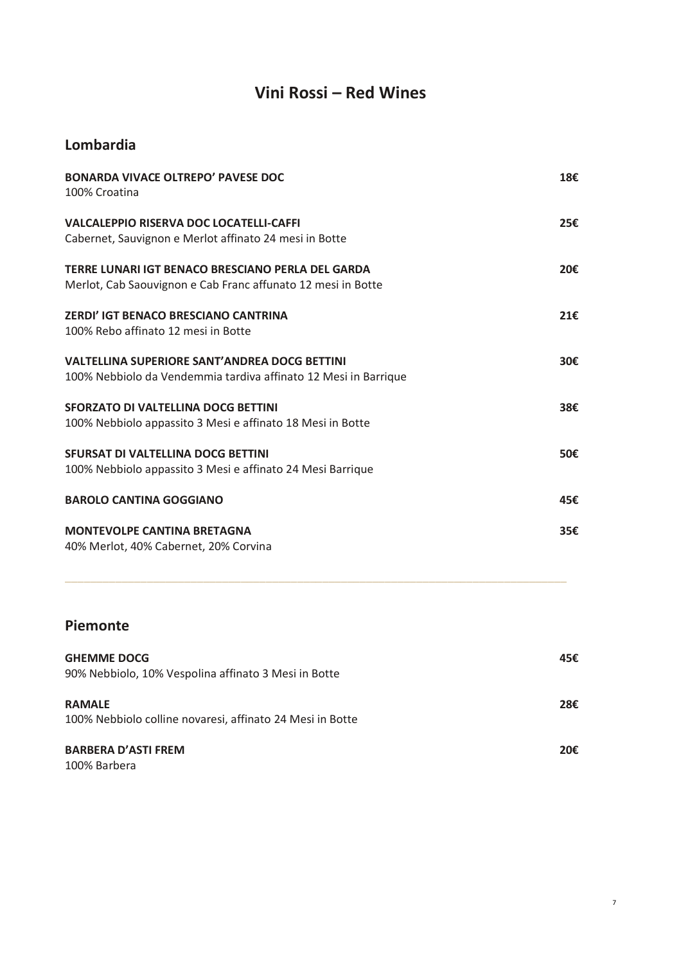# **Vini Rossi – Red Wines**

#### **Lombardia**

| <b>BONARDA VIVACE OLTREPO' PAVESE DOC</b><br>100% Croatina                                                              | 18€ |
|-------------------------------------------------------------------------------------------------------------------------|-----|
| <b>VALCALEPPIO RISERVA DOC LOCATELLI-CAFFI</b><br>Cabernet, Sauvignon e Merlot affinato 24 mesi in Botte                | 25€ |
| TERRE LUNARI IGT BENACO BRESCIANO PERLA DEL GARDA<br>Merlot, Cab Saouvignon e Cab Franc affunato 12 mesi in Botte       | 20€ |
| <b>ZERDI' IGT BENACO BRESCIANO CANTRINA</b><br>100% Rebo affinato 12 mesi in Botte                                      | 21€ |
| <b>VALTELLINA SUPERIORE SANT'ANDREA DOCG BETTINI</b><br>100% Nebbiolo da Vendemmia tardiva affinato 12 Mesi in Barrique | 30€ |
| <b>SFORZATO DI VALTELLINA DOCG BETTINI</b><br>100% Nebbiolo appassito 3 Mesi e affinato 18 Mesi in Botte                | 38€ |
| SFURSAT DI VALTELLINA DOCG BETTINI<br>100% Nebbiolo appassito 3 Mesi e affinato 24 Mesi Barrique                        | 50€ |
| <b>BAROLO CANTINA GOGGIANO</b>                                                                                          | 45€ |
| <b>MONTEVOLPE CANTINA BRETAGNA</b><br>40% Merlot, 40% Cabernet, 20% Corvina                                             | 35€ |

#### **Piemonte**

| <b>GHEMME DOCG</b><br>90% Nebbiolo, 10% Vespolina affinato 3 Mesi in Botte | 45€ |
|----------------------------------------------------------------------------|-----|
| <b>RAMALE</b><br>100% Nebbiolo colline novaresi, affinato 24 Mesi in Botte | 28€ |
| <b>BARBERA D'ASTI FREM</b><br>100% Barbera                                 | 20€ |

\_\_\_\_\_\_\_\_\_\_\_\_\_\_\_\_\_\_\_\_\_\_\_\_\_\_\_\_\_\_\_\_\_\_\_\_\_\_\_\_\_\_\_\_\_\_\_\_\_\_\_\_\_\_\_\_\_\_\_\_\_\_\_\_\_\_\_\_\_\_\_\_\_\_\_\_\_\_\_\_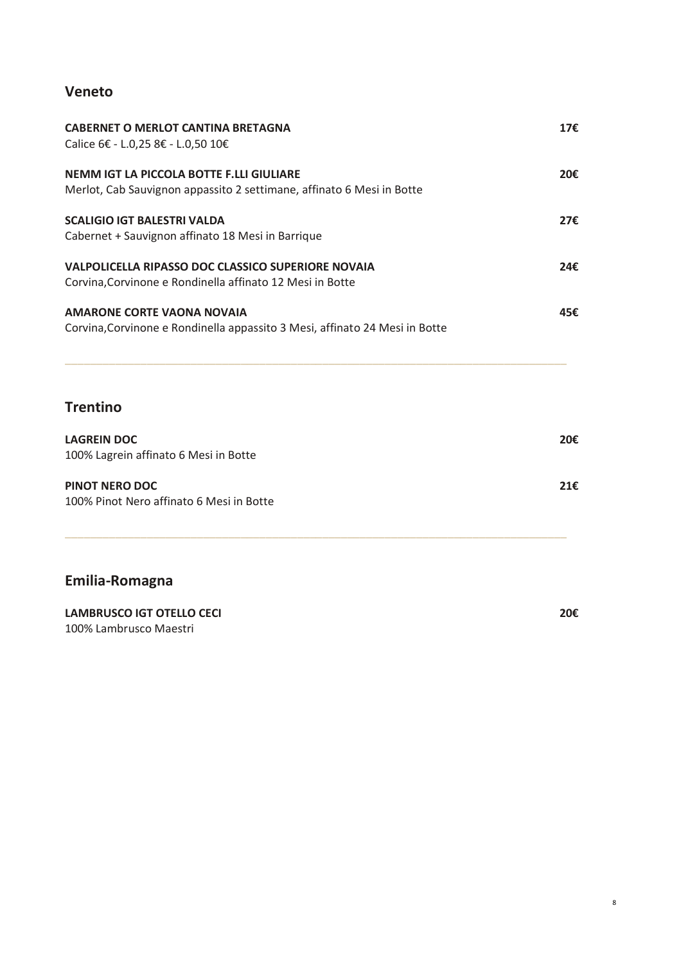#### **Veneto**

| <b>CABERNET O MERLOT CANTINA BRETAGNA</b><br>Calice 6€ - L.0,25 8€ - L.0,50 10€                                        | 17€ |
|------------------------------------------------------------------------------------------------------------------------|-----|
| NEMM IGT LA PICCOLA BOTTE F.LLI GIULIARE<br>Merlot, Cab Sauvignon appassito 2 settimane, affinato 6 Mesi in Botte      | 20€ |
| <b>SCALIGIO IGT BALESTRI VALDA</b><br>Cabernet + Sauvignon affinato 18 Mesi in Barrique                                | 27€ |
| <b>VALPOLICELLA RIPASSO DOC CLASSICO SUPERIORE NOVAIA</b><br>Corvina, Corvinone e Rondinella affinato 12 Mesi in Botte | 24€ |
| <b>AMARONE CORTE VAONA NOVAIA</b><br>Corvina, Corvinone e Rondinella appassito 3 Mesi, affinato 24 Mesi in Botte       | 45€ |

#### **Trentino**

| <b>LAGREIN DOC</b><br>100% Lagrein affinato 6 Mesi in Botte | 20€ |
|-------------------------------------------------------------|-----|
| PINOT NERO DOC<br>100% Pinot Nero affinato 6 Mesi in Botte  | 21f |

\_\_\_\_\_\_\_\_\_\_\_\_\_\_\_\_\_\_\_\_\_\_\_\_\_\_\_\_\_\_\_\_\_\_\_\_\_\_\_\_\_\_\_\_\_\_\_\_\_\_\_\_\_\_\_\_\_\_\_\_\_\_\_\_\_\_\_\_\_\_\_\_\_\_\_\_\_\_\_\_

\_\_\_\_\_\_\_\_\_\_\_\_\_\_\_\_\_\_\_\_\_\_\_\_\_\_\_\_\_\_\_\_\_\_\_\_\_\_\_\_\_\_\_\_\_\_\_\_\_\_\_\_\_\_\_\_\_\_\_\_\_\_\_\_\_\_\_\_\_\_\_\_\_\_\_\_\_\_\_\_

### **Emilia-Romagna**

| LAMBRUSCO IGT OTELLO CECI | 20€ |
|---------------------------|-----|
| 100% Lambrusco Maestri    |     |

8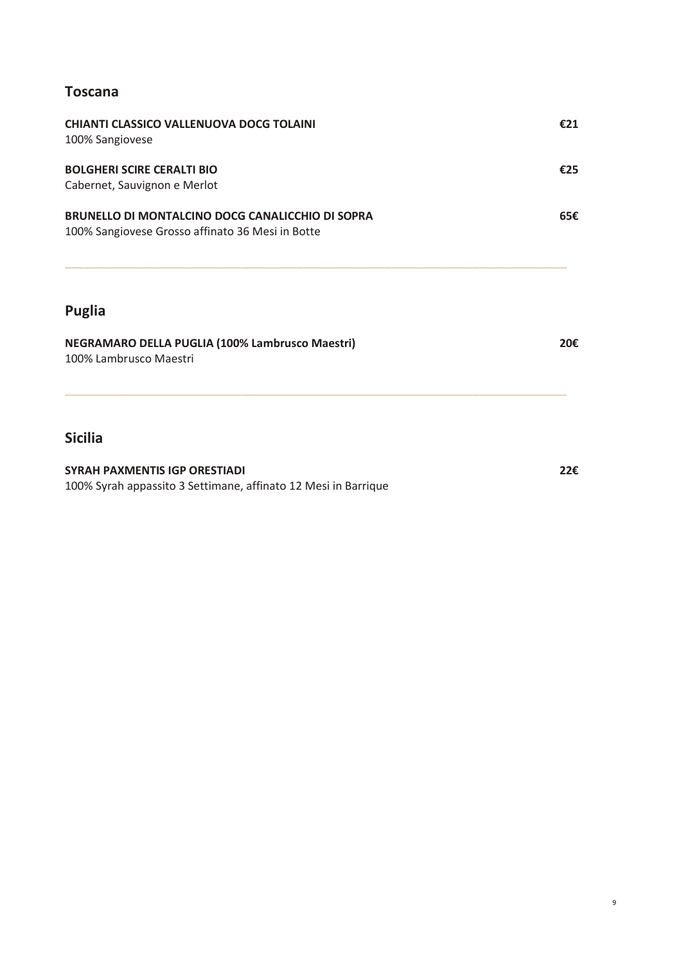#### **Toscana**

| <b>Sicilia</b>                                                                                              |     |
|-------------------------------------------------------------------------------------------------------------|-----|
| NEGRAMARO DELLA PUGLIA (100% Lambrusco Maestri)<br>100% Lambrusco Maestri                                   | 20€ |
| <b>Puglia</b>                                                                                               |     |
| <b>BRUNELLO DI MONTALCINO DOCG CANALICCHIO DI SOPRA</b><br>100% Sangiovese Grosso affinato 36 Mesi in Botte | 65€ |
| <b>BOLGHERI SCIRE CERALTI BIO</b><br>Cabernet, Sauvignon e Merlot                                           | €25 |
| <b>CHIANTI CLASSICO VALLENUOVA DOCG TOLAINI</b><br>100% Sangiovese                                          | €21 |

100% Syrah appassito 3 Settimane, affinato 12 Mesi in Barrique

9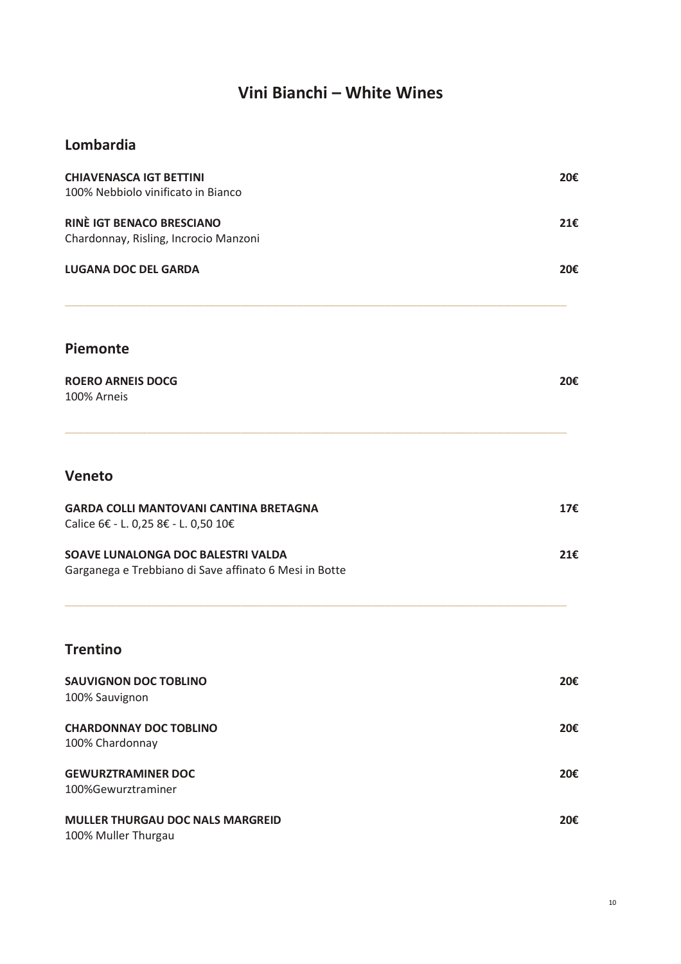# **Vini Bianchi – White Wines**

#### **Lombardia**

| <b>CHIAVENASCA IGT BETTINI</b><br>100% Nebbiolo vinificato in Bianco                         | 20€ |
|----------------------------------------------------------------------------------------------|-----|
| <b>RINÈ IGT BENACO BRESCIANO</b>                                                             | 21€ |
| Chardonnay, Risling, Incrocio Manzoni                                                        |     |
| <b>LUGANA DOC DEL GARDA</b>                                                                  | 20€ |
| Piemonte                                                                                     |     |
| <b>ROERO ARNEIS DOCG</b><br>100% Arneis                                                      | 20€ |
| Veneto                                                                                       |     |
| <b>GARDA COLLI MANTOVANI CANTINA BRETAGNA</b><br>Calice 6€ - L. 0,25 8€ - L. 0,50 10€        | 17€ |
| SOAVE LUNALONGA DOC BALESTRI VALDA<br>Garganega e Trebbiano di Save affinato 6 Mesi in Botte | 21€ |
| <b>Trentino</b>                                                                              |     |
| <b>SAUVIGNON DOC TOBLINO</b><br>100% Sauvignon                                               | 20€ |
| <b>CHARDONNAY DOC TOBLINO</b>                                                                | 20€ |
| 100% Chardonnay                                                                              |     |
| <b>GEWURZTRAMINER DOC</b><br>100%Gewurztraminer                                              | 20€ |
| MULLER THURGAU DOC NALS MARGREID<br>100% Muller Thurgau                                      | 20€ |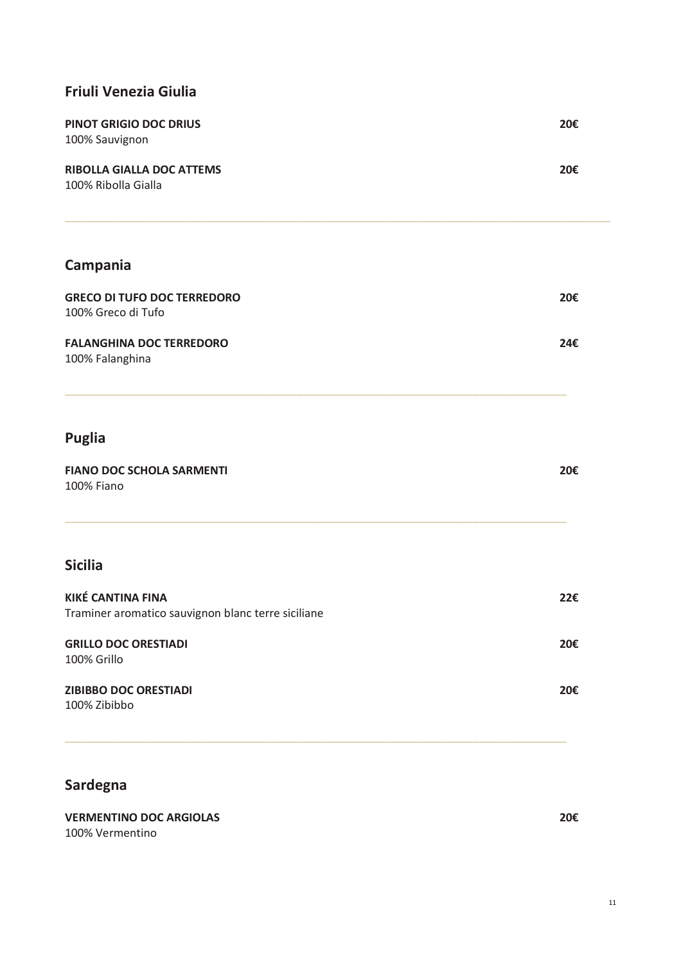#### **Friuli Venezia Giulia**

| <b>PINOT GRIGIO DOC DRIUS</b><br>100% Sauvignon         | 20€ |
|---------------------------------------------------------|-----|
| <b>RIBOLLA GIALLA DOC ATTEMS</b><br>100% Ribolla Gialla | 20€ |

### **Campania**

| <b>GRECO DI TUFO DOC TERREDORO</b><br>100% Greco di Tufo | 20€ |
|----------------------------------------------------------|-----|
| <b>FALANGHINA DOC TERREDORO</b>                          | 24€ |

\_\_\_\_\_\_\_\_\_\_\_\_\_\_\_\_\_\_\_\_\_\_\_\_\_\_\_\_\_\_\_\_\_\_\_\_\_\_\_\_\_\_\_\_\_\_\_\_\_\_\_\_\_\_\_\_\_\_\_\_\_\_\_\_\_\_\_\_\_\_\_\_\_\_\_\_\_\_\_\_

100% Falanghina

### **Puglia**

| <b>FIANO DOC SCHOLA SARMENTI</b> | 20€ |
|----------------------------------|-----|
| 100% Fiano                       |     |

\_\_\_\_\_\_\_\_\_\_\_\_\_\_\_\_\_\_\_\_\_\_\_\_\_\_\_\_\_\_\_\_\_\_\_\_\_\_\_\_\_\_\_\_\_\_\_\_\_\_\_\_\_\_\_\_\_\_\_\_\_\_\_\_\_\_\_\_\_\_\_\_\_\_\_\_\_\_\_\_

#### **Sicilia**

| <b>KIKÉ CANTINA FINA</b><br>Traminer aromatico sauvignon blanc terre siciliane | 22€ |
|--------------------------------------------------------------------------------|-----|
| <b>GRILLO DOC ORESTIADI</b><br>100% Grillo                                     | 20€ |
| <b>ZIBIBBO DOC ORESTIADI</b><br>100% Zibibbo                                   | 20€ |

\_\_\_\_\_\_\_\_\_\_\_\_\_\_\_\_\_\_\_\_\_\_\_\_\_\_\_\_\_\_\_\_\_\_\_\_\_\_\_\_\_\_\_\_\_\_\_\_\_\_\_\_\_\_\_\_\_\_\_\_\_\_\_\_\_\_\_\_\_\_\_\_\_\_\_\_\_\_\_\_

#### **Sardegna**

#### **VERMENTINO DOC ARGIOLAS 20€** 100% Vermentino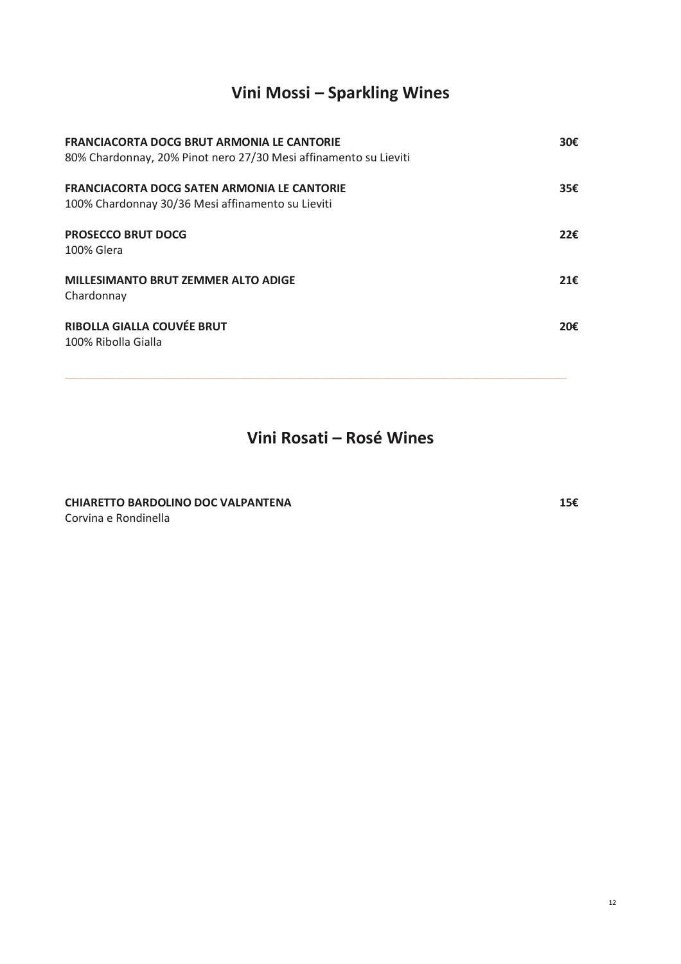# **Vini Mossi – Sparkling Wines**

| <b>FRANCIACORTA DOCG BRUT ARMONIA LE CANTORIE</b><br>80% Chardonnay, 20% Pinot nero 27/30 Mesi affinamento su Lieviti |     |
|-----------------------------------------------------------------------------------------------------------------------|-----|
| <b>FRANCIACORTA DOCG SATEN ARMONIA LE CANTORIE</b><br>100% Chardonnay 30/36 Mesi affinamento su Lieviti               | 35€ |
| <b>PROSECCO BRUT DOCG</b><br>100% Glera                                                                               | 22f |
| <b>MILLESIMANTO BRUT ZEMMER ALTO ADIGE</b><br>Chardonnay                                                              | 21E |
| <b>RIBOLLA GIALLA COUVÉE BRUT</b><br>100% Ribolla Gialla                                                              | 20€ |

\_\_\_\_\_\_\_\_\_\_\_\_\_\_\_\_\_\_\_\_\_\_\_\_\_\_\_\_\_\_\_\_\_\_\_\_\_\_\_\_\_\_\_\_\_\_\_\_\_\_\_\_\_\_\_\_\_\_\_\_\_\_\_\_\_\_\_\_\_\_\_\_\_\_\_\_\_\_\_\_

**Vini Rosati – Rosé Wines**

**CHIARETTO BARDOLINO DOC VALPANTENA 15€** Corvina e Rondinella